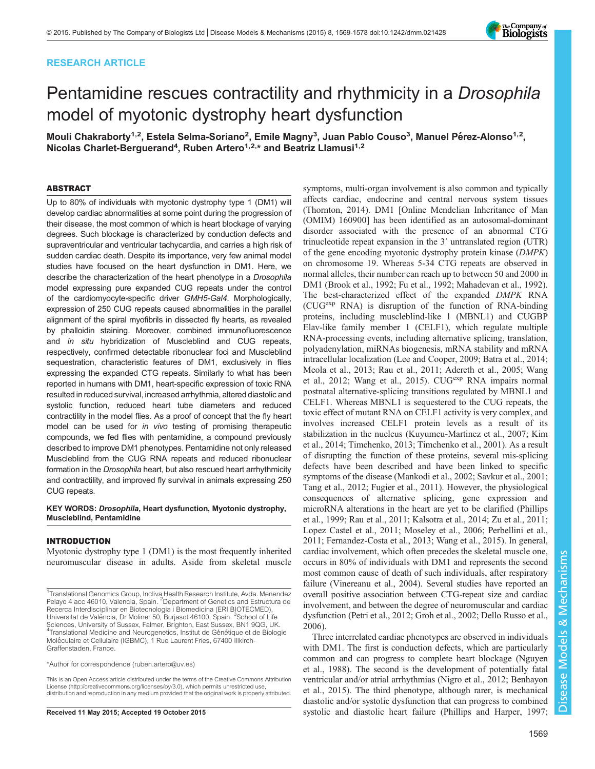# RESEARCH ARTICLE



# Pentamidine rescues contractility and rhythmicity in a Drosophila model of myotonic dystrophy heart dysfunction

Mouli Chakraborty<sup>1,2</sup>, Estela Selma-Soriano<sup>2</sup>, Emile Magny<sup>3</sup>, Juan Pablo Couso<sup>3</sup>, Manuel Pérez-Alonso<sup>1,2</sup>, Nicolas Charlet-Berguerand<sup>4</sup>, Ruben Artero<sup>1,2,\*</sup> and Beatriz Llamusi<sup>1,2</sup>

# ABSTRACT

Up to 80% of individuals with myotonic dystrophy type 1 (DM1) will develop cardiac abnormalities at some point during the progression of their disease, the most common of which is heart blockage of varying degrees. Such blockage is characterized by conduction defects and supraventricular and ventricular tachycardia, and carries a high risk of sudden cardiac death. Despite its importance, very few animal model studies have focused on the heart dysfunction in DM1. Here, we describe the characterization of the heart phenotype in a Drosophila model expressing pure expanded CUG repeats under the control of the cardiomyocyte-specific driver GMH5-Gal4. Morphologically, expression of 250 CUG repeats caused abnormalities in the parallel alignment of the spiral myofibrils in dissected fly hearts, as revealed by phalloidin staining. Moreover, combined immunofluorescence and in situ hybridization of Muscleblind and CUG repeats, respectively, confirmed detectable ribonuclear foci and Muscleblind sequestration, characteristic features of DM1, exclusively in flies expressing the expanded CTG repeats. Similarly to what has been reported in humans with DM1, heart-specific expression of toxic RNA resulted in reduced survival, increased arrhythmia, altered diastolic and systolic function, reduced heart tube diameters and reduced contractility in the model flies. As a proof of concept that the fly heart model can be used for in vivo testing of promising therapeutic compounds, we fed flies with pentamidine, a compound previously described to improve DM1 phenotypes. Pentamidine not only released Muscleblind from the CUG RNA repeats and reduced ribonuclear formation in the Drosophila heart, but also rescued heart arrhythmicity and contractility, and improved fly survival in animals expressing 250 CUG repeats.

# KEY WORDS: Drosophila, Heart dysfunction, Myotonic dystrophy, Muscleblind, Pentamidine

# INTRODUCTION

Myotonic dystrophy type 1 (DM1) is the most frequently inherited neuromuscular disease in adults. Aside from skeletal muscle

\*Author for correspondence [\(ruben.artero@uv.es](mailto:ruben.artero@uv.es))

This is an Open Access article distributed under the terms of the Creative Commons Attribution License [\(http://creativecommons.org/licenses/by/3.0\)](http://creativecommons.org/licenses/by/3.0), which permits unrestricted use, distribution and reproduction in any medium provided that the original work is properly attributed.

symptoms, multi-organ involvement is also common and typically affects cardiac, endocrine and central nervous system tissues [\(Thornton, 2014\)](#page-8-0). DM1 [Online Mendelian Inheritance of Man (OMIM) 160900] has been identified as an autosomal-dominant disorder associated with the presence of an abnormal CTG trinucleotide repeat expansion in the 3′ untranslated region (UTR) of the gene encoding myotonic dystrophy protein kinase (DMPK) on chromosome 19. Whereas 5-34 CTG repeats are observed in normal alleles, their number can reach up to between 50 and 2000 in DM1 ([Brook et al., 1992](#page-7-0); [Fu et al., 1992; Mahadevan et al., 1992\)](#page-8-0). The best-characterized effect of the expanded DMPK RNA (CUGexp RNA) is disruption of the function of RNA-binding proteins, including muscleblind-like 1 (MBNL1) and CUGBP Elav-like family member 1 (CELF1), which regulate multiple RNA-processing events, including alternative splicing, translation, polyadenylation, miRNAs biogenesis, mRNA stability and mRNA intracellular localization [\(Lee and Cooper, 2009](#page-8-0); [Batra et al., 2014](#page-7-0); [Meola et al., 2013; Rau et al., 2011](#page-8-0); [Adereth et al., 2005;](#page-7-0) [Wang](#page-9-0) [et al., 2012; Wang et al., 2015\)](#page-9-0). CUG<sup>exp</sup> RNA impairs normal postnatal alternative-splicing transitions regulated by MBNL1 and CELF1. Whereas MBNL1 is sequestered to the CUG repeats, the toxic effect of mutant RNA on CELF1 activity is very complex, and involves increased CELF1 protein levels as a result of its stabilization in the nucleus ([Kuyumcu-Martinez et al., 2007; Kim](#page-8-0) [et al., 2014; Timchenko, 2013; Timchenko et al., 2001\)](#page-8-0). As a result of disrupting the function of these proteins, several mis-splicing defects have been described and have been linked to specific symptoms of the disease ([Mankodi et al., 2002; Savkur et al., 2001](#page-8-0); [Tang et al., 2012; Fugier et al., 2011\)](#page-8-0). However, the physiological consequences of alternative splicing, gene expression and microRNA alterations in the heart are yet to be clarified [\(Phillips](#page-8-0) [et al., 1999](#page-8-0); [Rau et al., 2011](#page-8-0); [Kalsotra et al., 2014](#page-8-0); [Zu et al., 2011](#page-9-0); [Lopez Castel et al., 2011](#page-8-0); [Moseley et al., 2006](#page-8-0); [Perbellini et al.,](#page-8-0) [2011; Fernandez-Costa et al., 2013;](#page-8-0) [Wang et al., 2015\)](#page-9-0). In general, cardiac involvement, which often precedes the skeletal muscle one, occurs in 80% of individuals with DM1 and represents the second most common cause of death of such individuals, after respiratory failure ([Vinereanu et al., 2004\)](#page-8-0). Several studies have reported an overall positive association between CTG-repeat size and cardiac involvement, and between the degree of neuromuscular and cardiac dysfunction ([Petri et al., 2012; Groh et al., 2002](#page-8-0); [Dello Russo et al.,](#page-7-0) [2006\)](#page-7-0).

Three interrelated cardiac phenotypes are observed in individuals with DM1. The first is conduction defects, which are particularly common and can progress to complete heart blockage [\(Nguyen](#page-8-0) [et al., 1988\)](#page-8-0). The second is the development of potentially fatal ventricular and/or atrial arrhythmias ([Nigro et al., 2012;](#page-8-0) [Benhayon](#page-7-0) [et al., 2015\)](#page-7-0). The third phenotype, although rarer, is mechanical diastolic and/or systolic dysfunction that can progress to combined Received 11 May 2015; Accepted 19 October 2015 systolic and diastolic heart failure [\(Phillips and Harper, 1997](#page-8-0);

<sup>&</sup>lt;sup>1</sup> Translational Genomics Group, Incliva Health Research Institute, Avda. Menendez Pelayo 4 acc 46010, Valencia, Spain. <sup>2</sup> Department of Genetics and Estructura de Recerca Interdisciplinar en Biotecnologia i Biomedicina (ERI BIOTECMED), Universitat de València, Dr Moliner 50, Burjasot 46100, Spain. <sup>3</sup>School of Life Sciences, University of Sussex, Falmer, Brighton, East Sussex, BN1 9QG, UK. 4<br>Translational Medicine and Neurogenetics, Institut de Génétique et de Biologie Moléculaire et Cellulaire (IGBMC), 1 Rue Laurent Fries, 67400 Illkirch-Graffenstaden, France.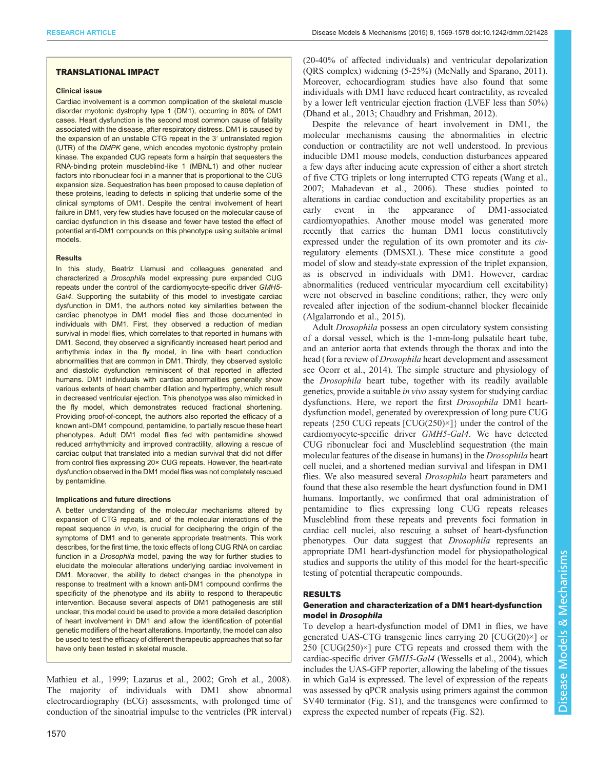# TRANSLATIONAL IMPACT

## Clinical issue

Cardiac involvement is a common complication of the skeletal muscle disorder myotonic dystrophy type 1 (DM1), occurring in 80% of DM1 cases. Heart dysfunction is the second most common cause of fatality associated with the disease, after respiratory distress. DM1 is caused by the expansion of an unstable CTG repeat in the 3′ untranslated region (UTR) of the DMPK gene, which encodes myotonic dystrophy protein kinase. The expanded CUG repeats form a hairpin that sequesters the RNA-binding protein muscleblind-like 1 (MBNL1) and other nuclear factors into ribonuclear foci in a manner that is proportional to the CUG expansion size. Sequestration has been proposed to cause depletion of these proteins, leading to defects in splicing that underlie some of the clinical symptoms of DM1. Despite the central involvement of heart failure in DM1, very few studies have focused on the molecular cause of cardiac dysfunction in this disease and fewer have tested the effect of potential anti-DM1 compounds on this phenotype using suitable animal models.

#### Results

In this study, Beatriz Llamusi and colleagues generated and characterized a Drosophila model expressing pure expanded CUG repeats under the control of the cardiomyocyte-specific driver GMH5- Gal4. Supporting the suitability of this model to investigate cardiac dysfunction in DM1, the authors noted key similarities between the cardiac phenotype in DM1 model flies and those documented in individuals with DM1. First, they observed a reduction of median survival in model flies, which correlates to that reported in humans with DM1. Second, they observed a significantly increased heart period and arrhythmia index in the fly model, in line with heart conduction abnormalities that are common in DM1. Thirdly, they observed systolic and diastolic dysfunction reminiscent of that reported in affected humans. DM1 individuals with cardiac abnormalities generally show various extents of heart chamber dilation and hypertrophy, which result in decreased ventricular ejection. This phenotype was also mimicked in the fly model, which demonstrates reduced fractional shortening. Providing proof-of-concept, the authors also reported the efficacy of a known anti-DM1 compound, pentamidine, to partially rescue these heart phenotypes. Adult DM1 model flies fed with pentamidine showed reduced arrhythmicity and improved contractility, allowing a rescue of cardiac output that translated into a median survival that did not differ from control flies expressing 20× CUG repeats. However, the heart-rate dysfunction observed in the DM1 model flies was not completely rescued by pentamidine.

## Implications and future directions

A better understanding of the molecular mechanisms altered by expansion of CTG repeats, and of the molecular interactions of the repeat sequence in vivo, is crucial for deciphering the origin of the symptoms of DM1 and to generate appropriate treatments. This work describes, for the first time, the toxic effects of long CUG RNA on cardiac function in a Drosophila model, paving the way for further studies to elucidate the molecular alterations underlying cardiac involvement in DM1. Moreover, the ability to detect changes in the phenotype in response to treatment with a known anti-DM1 compound confirms the specificity of the phenotype and its ability to respond to therapeutic intervention. Because several aspects of DM1 pathogenesis are still unclear, this model could be used to provide a more detailed description of heart involvement in DM1 and allow the identification of potential genetic modifiers of the heart alterations. Importantly, the model can also be used to test the efficacy of different therapeutic approaches that so far have only been tested in skeletal muscle.

[Mathieu et al., 1999; Lazarus et al., 2002; Groh et al., 2008\)](#page-8-0). The majority of individuals with DM1 show abnormal electrocardiography (ECG) assessments, with prolonged time of conduction of the sinoatrial impulse to the ventricles (PR interval)

(20-40% of affected individuals) and ventricular depolarization (QRS complex) widening (5-25%) [\(McNally and Sparano, 2011\)](#page-8-0). Moreover, echocardiogram studies have also found that some individuals with DM1 have reduced heart contractility, as revealed by a lower left ventricular ejection fraction (LVEF less than 50%) [\(Dhand et al., 2013; Chaudhry and Frishman, 2012\)](#page-7-0).

Despite the relevance of heart involvement in DM1, the molecular mechanisms causing the abnormalities in electric conduction or contractility are not well understood. In previous inducible DM1 mouse models, conduction disturbances appeared a few days after inducing acute expression of either a short stretch of five CTG triplets or long interrupted CTG repeats [\(Wang et al.,](#page-8-0) [2007; Mahadevan et al., 2006\)](#page-8-0). These studies pointed to alterations in cardiac conduction and excitability properties as an early event in the appearance of DM1-associated cardiomyopathies. Another mouse model was generated more recently that carries the human DM1 locus constitutively expressed under the regulation of its own promoter and its cisregulatory elements (DMSXL). These mice constitute a good model of slow and steady-state expression of the triplet expansion, as is observed in individuals with DM1. However, cardiac abnormalities (reduced ventricular myocardium cell excitability) were not observed in baseline conditions; rather, they were only revealed after injection of the sodium-channel blocker flecainide [\(Algalarrondo et al., 2015](#page-7-0)).

Adult *Drosophila* possess an open circulatory system consisting of a dorsal vessel, which is the 1-mm-long pulsatile heart tube, and an anterior aorta that extends through the thorax and into the head (for a review of Drosophila heart development and assessment see [Ocorr et al., 2014](#page-8-0)). The simple structure and physiology of the Drosophila heart tube, together with its readily available genetics, provide a suitable in vivo assay system for studying cardiac dysfunctions. Here, we report the first Drosophila DM1 heartdysfunction model, generated by overexpression of long pure CUG repeats {250 CUG repeats [CUG(250)×]} under the control of the cardiomyocyte-specific driver GMH5-Gal4. We have detected CUG ribonuclear foci and Muscleblind sequestration (the main molecular features of the disease in humans) in the Drosophila heart cell nuclei, and a shortened median survival and lifespan in DM1 flies. We also measured several Drosophila heart parameters and found that these also resemble the heart dysfunction found in DM1 humans. Importantly, we confirmed that oral administration of pentamidine to flies expressing long CUG repeats releases Muscleblind from these repeats and prevents foci formation in cardiac cell nuclei, also rescuing a subset of heart-dysfunction phenotypes. Our data suggest that Drosophila represents an appropriate DM1 heart-dysfunction model for physiopathological studies and supports the utility of this model for the heart-specific testing of potential therapeutic compounds.

# RESULTS

# Generation and characterization of a DM1 heart-dysfunction model in Drosophila

To develop a heart-dysfunction model of DM1 in flies, we have generated UAS-CTG transgenic lines carrying 20 [CUG(20)×] or 250 [CUG(250)×] pure CTG repeats and crossed them with the cardiac-specific driver GMH5-Gal4 [\(Wessells et al., 2004\)](#page-9-0), which includes the UAS-GFP reporter, allowing the labeling of the tissues in which Gal4 is expressed. The level of expression of the repeats was assessed by qPCR analysis using primers against the common SV40 terminator [\(Fig. S1](http://dmm.biologists.org/lookup/suppl/doi:10.1242/dmm.021428/-/DC1)), and the transgenes were confirmed to express the expected number of repeats [\(Fig. S2\)](http://dmm.biologists.org/lookup/suppl/doi:10.1242/dmm.021428/-/DC1).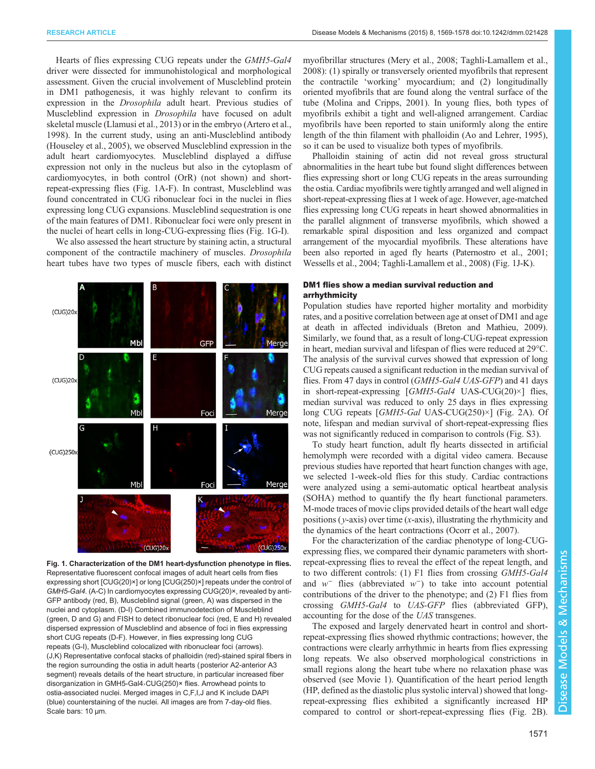Hearts of flies expressing CUG repeats under the GMH5-Gal4 driver were dissected for immunohistological and morphological assessment. Given the crucial involvement of Muscleblind protein in DM1 pathogenesis, it was highly relevant to confirm its expression in the Drosophila adult heart. Previous studies of Muscleblind expression in Drosophila have focused on adult skeletal muscle ([Llamusi et al., 2013](#page-8-0)) or in the embryo ([Artero et al.,](#page-7-0) [1998](#page-7-0)). In the current study, using an anti-Muscleblind antibody [\(Houseley et al., 2005](#page-8-0)), we observed Muscleblind expression in the adult heart cardiomyocytes. Muscleblind displayed a diffuse expression not only in the nucleus but also in the cytoplasm of cardiomyocytes, in both control (OrR) (not shown) and shortrepeat-expressing flies (Fig. 1A-F). In contrast, Muscleblind was found concentrated in CUG ribonuclear foci in the nuclei in flies expressing long CUG expansions. Muscleblind sequestration is one of the main features of DM1. Ribonuclear foci were only present in the nuclei of heart cells in long-CUG-expressing flies (Fig. 1G-I).

We also assessed the heart structure by staining actin, a structural component of the contractile machinery of muscles. Drosophila heart tubes have two types of muscle fibers, each with distinct



Fig. 1. Characterization of the DM1 heart-dysfunction phenotype in flies. Representative fluorescent confocal images of adult heart cells from flies expressing short [CUG(20)×] or long [CUG(250)×] repeats under the control of GMH5-Gal4. (A-C) In cardiomyocytes expressing CUG(20)×, revealed by anti-GFP antibody (red, B), Muscleblind signal (green, A) was dispersed in the nuclei and cytoplasm. (D-I) Combined immunodetection of Muscleblind (green, D and G) and FISH to detect ribonuclear foci (red, E and H) revealed dispersed expression of Muscleblind and absence of foci in flies expressing short CUG repeats (D-F). However, in flies expressing long CUG repeats (G-I), Muscleblind colocalized with ribonuclear foci (arrows). (J,K) Representative confocal stacks of phalloidin (red)-stained spiral fibers in the region surrounding the ostia in adult hearts (posterior A2-anterior A3 segment) reveals details of the heart structure, in particular increased fiber disorganization in GMH5-Gal4›CUG(250)× flies. Arrowhead points to ostia-associated nuclei. Merged images in C,F,I,J and K include DAPI (blue) counterstaining of the nuclei. All images are from 7-day-old flies. Scale bars: 10 um.

myofibrillar structures [\(Mery et al., 2008; Taghli-Lamallem et al.,](#page-8-0) [2008\)](#page-8-0): (1) spirally or transversely oriented myofibrils that represent the contractile 'working' myocardium; and (2) longitudinally oriented myofibrils that are found along the ventral surface of the tube ([Molina and Cripps, 2001\)](#page-8-0). In young flies, both types of myofibrils exhibit a tight and well-aligned arrangement. Cardiac myofibrils have been reported to stain uniformly along the entire length of the thin filament with phalloidin ([Ao and Lehrer, 1995\)](#page-7-0), so it can be used to visualize both types of myofibrils.

Phalloidin staining of actin did not reveal gross structural abnormalities in the heart tube but found slight differences between flies expressing short or long CUG repeats in the areas surrounding the ostia. Cardiac myofibrils were tightly arranged and well aligned in short-repeat-expressing flies at 1 week of age. However, age-matched flies expressing long CUG repeats in heart showed abnormalities in the parallel alignment of transverse myofibrils, which showed a remarkable spiral disposition and less organized and compact arrangement of the myocardial myofibrils. These alterations have been also reported in aged fly hearts [\(Paternostro et al., 2001](#page-8-0); [Wessells et al., 2004](#page-9-0); [Taghli-Lamallem et al., 2008\)](#page-8-0) (Fig. 1J-K).

# DM1 flies show a median survival reduction and arrhythmicity

Population studies have reported higher mortality and morbidity rates, and a positive correlation between age at onset of DM1 and age at death in affected individuals ([Breton and Mathieu, 2009\)](#page-7-0). Similarly, we found that, as a result of long-CUG-repeat expression in heart, median survival and lifespan of flies were reduced at 29°C. The analysis of the survival curves showed that expression of long CUG repeats caused a significant reduction in the median survival of flies. From 47 days in control (GMH5-Gal4 UAS-GFP) and 41 days in short-repeat-expressing [GMH5-Gal4 UAS-CUG(20)×] flies, median survival was reduced to only 25 days in flies expressing long CUG repeats [GMH5-Gal UAS-CUG(250)×] [\(Fig. 2A](#page-3-0)). Of note, lifespan and median survival of short-repeat-expressing flies was not significantly reduced in comparison to controls [\(Fig. S3\)](http://dmm.biologists.org/lookup/suppl/doi:10.1242/dmm.021428/-/DC1).

To study heart function, adult fly hearts dissected in artificial hemolymph were recorded with a digital video camera. Because previous studies have reported that heart function changes with age, we selected 1-week-old flies for this study. Cardiac contractions were analyzed using a semi-automatic optical heartbeat analysis (SOHA) method to quantify the fly heart functional parameters. M-mode traces of movie clips provided details of the heart wall edge positions ( $y$ -axis) over time ( $x$ -axis), illustrating the rhythmicity and the dynamics of the heart contractions [\(Ocorr et al., 2007](#page-8-0)).

For the characterization of the cardiac phenotype of long-CUGexpressing flies, we compared their dynamic parameters with shortrepeat-expressing flies to reveal the effect of the repeat length, and to two different controls: (1) F1 flies from crossing GMH5-Gal4 and w<sup>−</sup> flies (abbreviated w<sup>−</sup>) to take into account potential contributions of the driver to the phenotype; and (2) F1 flies from crossing GMH5-Gal4 to UAS-GFP flies (abbreviated GFP), accounting for the dose of the UAS transgenes.

The exposed and largely denervated heart in control and shortrepeat-expressing flies showed rhythmic contractions; however, the contractions were clearly arrhythmic in hearts from flies expressing long repeats. We also observed morphological constrictions in small regions along the heart tube where no relaxation phase was observed (see [Movie 1\)](http://dmm.biologists.org/lookup/suppl/doi:10.1242/dmm.021428/-/DC1). Quantification of the heart period length (HP, defined as the diastolic plus systolic interval) showed that longrepeat-expressing flies exhibited a significantly increased HP compared to control or short-repeat-expressing flies [\(Fig. 2](#page-3-0)B).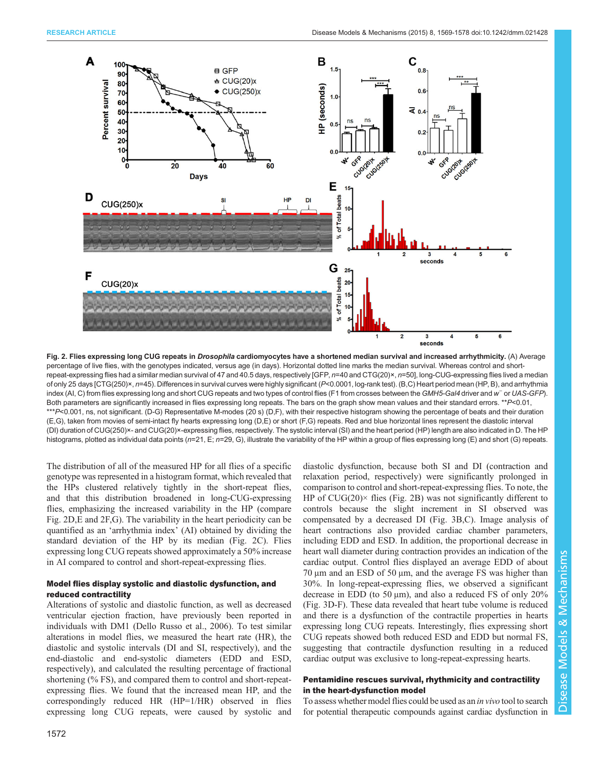<span id="page-3-0"></span>

Fig. 2. Flies expressing long CUG repeats in *Drosophila* cardiomyocytes have a shortened median survival and increased arrhythmicity. (A) Average percentage of live flies, with the genotypes indicated, versus age (in days). Horizontal dotted line marks the median survival. Whereas control and shortrepeat-expressing flies had a similar median survival of 47 and 40.5 days, respectively [GFP, n=40 and CTG(20)×, n=50], long-CUG-expressing flies lived a median of only 25 days [CTG(250)×, n=45). Differences in survival curves were highly significant (P<0.0001, log-rank test). (B,C) Heart period mean (HP, B), and arrhythmia index (AI, C) from flies expressing long and short CUG repeats and two types of control flies (F1 from crosses between the GMH5-Gal4 driver and <sup>w</sup><sup>−</sup> or UAS-GFP). Both parameters are significantly increased in flies expressing long repeats. The bars on the graph show mean values and their standard errors. \*\* P< 0.01, \*\*\*P<0.001, ns, not significant. (D-G) Representative M-modes (20 s) (D,F), with their respective histogram showing the percentage of beats and their duration (E,G), taken from movies of semi-intact fly hearts expressing long (D,E) or short (F,G) repeats. Red and blue horizontal lines represent the diastolic interval (DI) duration of CUG(250)×- and CUG(20)×-expressing flies, respectively. The systolic interval (SI) and the heart period (HP) length are also indicated in D. The HP histograms, plotted as individual data points (n=21, E; n=29, G), illustrate the variability of the HP within a group of flies expressing long (E) and short (G) repeats.

The distribution of all of the measured HP for all flies of a specific genotype was represented in a histogram format, which revealed that the HPs clustered relatively tightly in the short-repeat flies, and that this distribution broadened in long-CUG-expressing flies, emphasizing the increased variability in the HP (compare Fig. 2D,E and 2F,G). The variability in the heart periodicity can be quantified as an 'arrhythmia index' (AI) obtained by dividing the standard deviation of the HP by its median (Fig. 2C). Flies expressing long CUG repeats showed approximately a 50% increase in AI compared to control and short-repeat-expressing flies.

# Model flies display systolic and diastolic dysfunction, and reduced contractility

Alterations of systolic and diastolic function, as well as decreased ventricular ejection fraction, have previously been reported in individuals with DM1 [\(Dello Russo et al., 2006](#page-7-0)). To test similar alterations in model flies, we measured the heart rate (HR), the diastolic and systolic intervals (DI and SI, respectively), and the end-diastolic and end-systolic diameters (EDD and ESD, respectively), and calculated the resulting percentage of fractional shortening (% FS), and compared them to control and short-repeatexpressing flies. We found that the increased mean HP, and the correspondingly reduced HR (HP=1/HR) observed in flies expressing long CUG repeats, were caused by systolic and relaxation period, respectively) were significantly prolonged in comparison to control and short-repeat-expressing flies. To note, the HP of  $CUG(20)$  flies (Fig. 2B) was not significantly different to controls because the slight increment in SI observed was compensated by a decreased DI [\(Fig. 3](#page-4-0)B,C). Image analysis of heart contractions also provided cardiac chamber parameters, including EDD and ESD. In addition, the proportional decrease in heart wall diameter during contraction provides an indication of the cardiac output. Control flies displayed an average EDD of about 70 μm and an ESD of 50 μm, and the average FS was higher than 30%. In long-repeat-expressing flies, we observed a significant decrease in EDD (to 50  $\mu$ m), and also a reduced FS of only 20% [\(Fig. 3](#page-4-0)D-F). These data revealed that heart tube volume is reduced and there is a dysfunction of the contractile properties in hearts expressing long CUG repeats. Interestingly, flies expressing short CUG repeats showed both reduced ESD and EDD but normal FS, suggesting that contractile dysfunction resulting in a reduced cardiac output was exclusive to long-repeat-expressing hearts.

diastolic dysfunction, because both SI and DI (contraction and

# Pentamidine rescues survival, rhythmicity and contractility in the heart-dysfunction model

To assess whether model flies could be used as an in vivo tool to search for potential therapeutic compounds against cardiac dysfunction in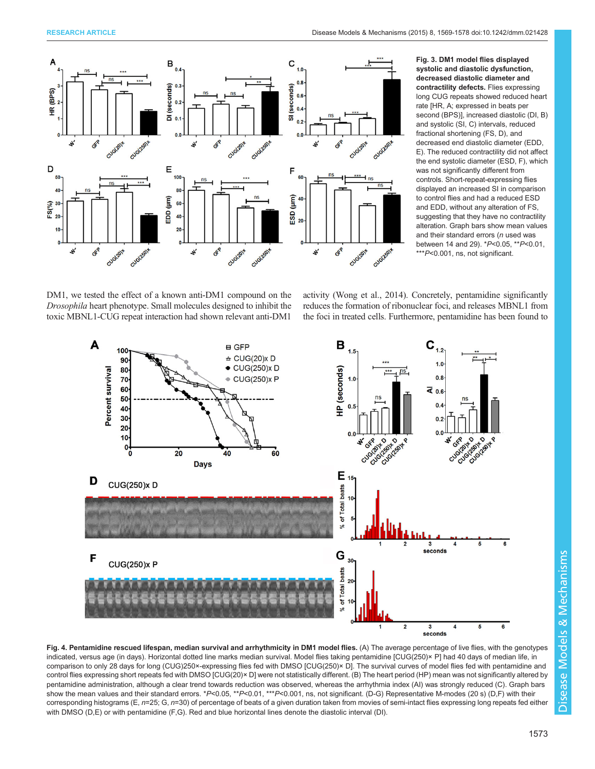<span id="page-4-0"></span>

Fig. 3. DM1 model flies displayed systolic and diastolic dysfunction, decreased diastolic diameter and contractility defects. Flies expressing long CUG repeats showed reduced heart rate [HR, A; expressed in beats per second (BPS)], increased diastolic (DI, B) and systolic (SI, C) intervals, reduced fractional shortening (FS, D), and decreased end diastolic diameter (EDD, E). The reduced contractility did not affect the end systolic diameter (ESD, F), which was not significantly different from controls. Short-repeat-expressing flies displayed an increased SI in comparison to control flies and had a reduced ESD and EDD, without any alteration of FS, suggesting that they have no contractility alteration. Graph bars show mean values and their standard errors ( $n$  used was between 14 and 29). \*P<0.05, \*\*P<0.01, \*\*\*P<0.001, ns, not significant.

DM1, we tested the effect of a known anti-DM1 compound on the Drosophila heart phenotype. Small molecules designed to inhibit the toxic MBNL1-CUG repeat interaction had shown relevant anti-DM1

activity ([Wong et al., 2014\)](#page-9-0). Concretely, pentamidine significantly reduces the formation of ribonuclear foci, and releases MBNL1 from the foci in treated cells. Furthermore, pentamidine has been found to



Fig. 4. Pentamidine rescued lifespan, median survival and arrhythmicity in DM1 model flies. (A) The average percentage of live flies, with the genotypes indicated, versus age (in days). Horizontal dotted line marks median survival. Model flies taking pentamidine [CUG(250)× P] had 40 days of median life, in comparison to only 28 days for long (CUG)250×-expressing flies fed with DMSO [CUG(250)× D]. The survival curves of model flies fed with pentamidine and control flies expressing short repeats fed with DMSO [CUG(20)× D] were not statistically different. (B) The heart period (HP) mean was not significantly altered by pentamidine administration, although a clear trend towards reduction was observed, whereas the arrhythmia index (AI) was strongly reduced (C). Graph bars show the mean values and their standard errors. \*P<0.05, \*\*P<0.01, \*\*\*P<0.001, ns, not significant. (D-G) Representative M-modes (20 s) (D,F) with their corresponding histograms (E,  $n=25$ ; G,  $n=30$ ) of percentage of beats of a given duration taken from movies of semi-intact flies expressing long repeats fed either with DMSO (D,E) or with pentamidine (F,G). Red and blue horizontal lines denote the diastolic interval (DI).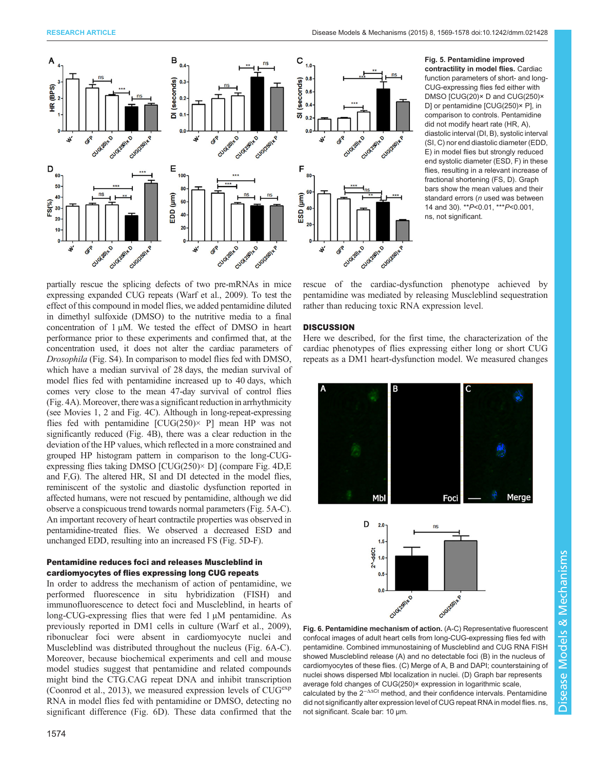

Fig. 5. Pentamidine improved contractility in model flies. Cardiac function parameters of short- and long-CUG-expressing flies fed either with DMSO [CUG(20)× D and CUG(250)× D] or pentamidine [CUG(250)× P], in comparison to controls. Pentamidine did not modify heart rate (HR, A), diastolic interval (DI, B), systolic interval (SI, C) nor end diastolic diameter (EDD, E) in model flies but strongly reduced end systolic diameter (ESD, F) in these flies, resulting in a relevant increase of fractional shortening (FS, D). Graph bars show the mean values and their standard errors ( $n$  used was between 14 and 30). \*\*P<0.01, \*\*\*P<0.001, ns, not significant.

partially rescue the splicing defects of two pre-mRNAs in mice expressing expanded CUG repeats ([Warf et al., 2009](#page-9-0)). To test the effect of this compound in model flies, we added pentamidine diluted in dimethyl sulfoxide (DMSO) to the nutritive media to a final concentration of 1 µM. We tested the effect of DMSO in heart performance prior to these experiments and confirmed that, at the concentration used, it does not alter the cardiac parameters of Drosophila [\(Fig. S4](http://dmm.biologists.org/lookup/suppl/doi:10.1242/dmm.021428/-/DC1)). In comparison to model flies fed with DMSO, which have a median survival of 28 days, the median survival of model flies fed with pentamidine increased up to 40 days, which comes very close to the mean 47-day survival of control flies [\(Fig. 4A](#page-4-0)). Moreover, there was a significant reduction in arrhythmicity (see [Movies 1, 2](http://dmm.biologists.org/lookup/suppl/doi:10.1242/dmm.021428/-/DC1) and [Fig. 4C](#page-4-0)). Although in long-repeat-expressing flies fed with pentamidine  $[CUG(250) \times P]$  mean HP was not significantly reduced [\(Fig. 4](#page-4-0)B), there was a clear reduction in the deviation of the HP values, which reflected in a more constrained and grouped HP histogram pattern in comparison to the long-CUGexpressing flies taking DMSO  $[CUG(250) \times D]$  (compare [Fig. 4](#page-4-0)D, E and F,G). The altered HR, SI and DI detected in the model flies, reminiscent of the systolic and diastolic dysfunction reported in affected humans, were not rescued by pentamidine, although we did observe a conspicuous trend towards normal parameters (Fig. 5A-C). An important recovery of heart contractile properties was observed in pentamidine-treated flies. We observed a decreased ESD and unchanged EDD, resulting into an increased FS (Fig. 5D-F).

# Pentamidine reduces foci and releases Muscleblind in cardiomyocytes of flies expressing long CUG repeats

In order to address the mechanism of action of pentamidine, we performed fluorescence in situ hybridization (FISH) and immunofluorescence to detect foci and Muscleblind, in hearts of long-CUG-expressing flies that were fed 1 µM pentamidine. As previously reported in DM1 cells in culture ([Warf et al., 2009\)](#page-9-0), ribonuclear foci were absent in cardiomyocyte nuclei and Muscleblind was distributed throughout the nucleus (Fig. 6A-C). Moreover, because biochemical experiments and cell and mouse model studies suggest that pentamidine and related compounds might bind the CTG.CAG repeat DNA and inhibit transcription [\(Coonrod et al., 2013](#page-7-0)), we measured expression levels of CUGexp RNA in model flies fed with pentamidine or DMSO, detecting no significant difference (Fig. 6D). These data confirmed that the

rescue of the cardiac-dysfunction phenotype achieved by pentamidine was mediated by releasing Muscleblind sequestration rather than reducing toxic RNA expression level.

# **DISCUSSION**

Here we described, for the first time, the characterization of the cardiac phenotypes of flies expressing either long or short CUG repeats as a DM1 heart-dysfunction model. We measured changes





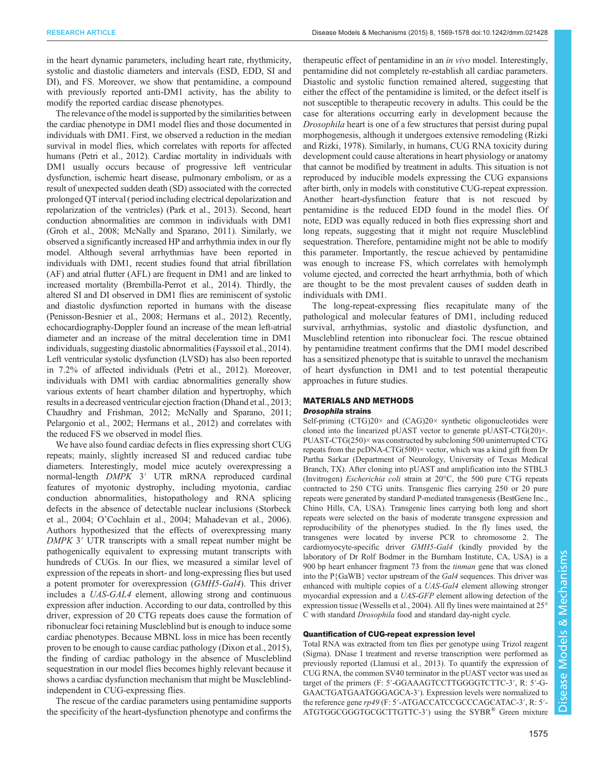in the heart dynamic parameters, including heart rate, rhythmicity, systolic and diastolic diameters and intervals (ESD, EDD, SI and DI), and FS. Moreover, we show that pentamidine, a compound with previously reported anti-DM1 activity, has the ability to modify the reported cardiac disease phenotypes.

The relevance of the model is supported by the similarities between the cardiac phenotype in DM1 model flies and those documented in individuals with DM1. First, we observed a reduction in the median survival in model flies, which correlates with reports for affected humans ([Petri et al., 2012\)](#page-8-0). Cardiac mortality in individuals with DM1 usually occurs because of progressive left ventricular dysfunction, ischemic heart disease, pulmonary embolism, or as a result of unexpected sudden death (SD) associated with the corrected prolonged QT interval (period including electrical depolarization and repolarization of the ventricles) [\(Park et al., 2013\)](#page-8-0). Second, heart conduction abnormalities are common in individuals with DM1 [\(Groh et al., 2008](#page-8-0); [McNally and Sparano, 2011\)](#page-8-0). Similarly, we observed a significantly increased HP and arrhythmia index in our fly model. Although several arrhythmias have been reported in individuals with DM1, recent studies found that atrial fibrillation (AF) and atrial flutter (AFL) are frequent in DM1 and are linked to increased mortality ([Brembilla-Perrot et al., 2014](#page-7-0)). Thirdly, the altered SI and DI observed in DM1 flies are reminiscent of systolic and diastolic dysfunction reported in humans with the disease [\(Penisson-Besnier et al., 2008; Hermans et al., 2012](#page-8-0)). Recently, echocardiography-Doppler found an increase of the mean left-atrial diameter and an increase of the mitral deceleration time in DM1 individuals, suggesting diastolic abnormalities [\(Fayssoil et al., 2014\)](#page-7-0). Left ventricular systolic dysfunction (LVSD) has also been reported in 7.2% of affected individuals ([Petri et al., 2012](#page-8-0)). Moreover, individuals with DM1 with cardiac abnormalities generally show various extents of heart chamber dilation and hypertrophy, which results in a decreased ventricular ejection fraction ([Dhand et al., 2013](#page-7-0); [Chaudhry and Frishman, 2012;](#page-7-0) [McNally and Sparano, 2011](#page-8-0); [Pelargonio et al., 2002; Hermans et al., 2012](#page-8-0)) and correlates with the reduced FS we observed in model flies.

We have also found cardiac defects in flies expressing short CUG repeats; mainly, slightly increased SI and reduced cardiac tube diameters. Interestingly, model mice acutely overexpressing a normal-length DMPK 3′ UTR mRNA reproduced cardinal features of myotonic dystrophy, including myotonia, cardiac conduction abnormalities, histopathology and RNA splicing defects in the absence of detectable nuclear inclusions ([Storbeck](#page-8-0) [et al., 2004;](#page-8-0) O'[Cochlain et al., 2004; Mahadevan et al., 2006\)](#page-8-0). Authors hypothesized that the effects of overexpressing many DMPK 3′ UTR transcripts with a small repeat number might be pathogenically equivalent to expressing mutant transcripts with hundreds of CUGs. In our flies, we measured a similar level of expression of the repeats in short- and long-expressing flies but used a potent promoter for overexpression (GMH5-Gal4). This driver includes a UAS-GAL4 element, allowing strong and continuous expression after induction. According to our data, controlled by this driver, expression of 20 CTG repeats does cause the formation of ribonuclear foci retaining Muscleblind but is enough to induce some cardiac phenotypes. Because MBNL loss in mice has been recently proven to be enough to cause cardiac pathology [\(Dixon et al., 2015\)](#page-7-0), the finding of cardiac pathology in the absence of Muscleblind sequestration in our model flies becomes highly relevant because it shows a cardiac dysfunction mechanism that might be Muscleblindindependent in CUG-expressing flies.

The rescue of the cardiac parameters using pentamidine supports the specificity of the heart-dysfunction phenotype and confirms the therapeutic effect of pentamidine in an in vivo model. Interestingly, pentamidine did not completely re-establish all cardiac parameters. Diastolic and systolic function remained altered, suggesting that either the effect of the pentamidine is limited, or the defect itself is not susceptible to therapeutic recovery in adults. This could be the case for alterations occurring early in development because the Drosophila heart is one of a few structures that persist during pupal morphogenesis, although it undergoes extensive remodeling ([Rizki](#page-8-0) [and Rizki, 1978](#page-8-0)). Similarly, in humans, CUG RNA toxicity during development could cause alterations in heart physiology or anatomy that cannot be modified by treatment in adults. This situation is not reproduced by inducible models expressing the CUG expansions after birth, only in models with constitutive CUG-repeat expression. Another heart-dysfunction feature that is not rescued by pentamidine is the reduced EDD found in the model flies. Of note, EDD was equally reduced in both flies expressing short and long repeats, suggesting that it might not require Muscleblind sequestration. Therefore, pentamidine might not be able to modify this parameter. Importantly, the rescue achieved by pentamidine was enough to increase FS, which correlates with hemolymph volume ejected, and corrected the heart arrhythmia, both of which are thought to be the most prevalent causes of sudden death in individuals with DM1.

The long-repeat-expressing flies recapitulate many of the pathological and molecular features of DM1, including reduced survival, arrhythmias, systolic and diastolic dysfunction, and Muscleblind retention into ribonuclear foci. The rescue obtained by pentamidine treatment confirms that the DM1 model described has a sensitized phenotype that is suitable to unravel the mechanism of heart dysfunction in DM1 and to test potential therapeutic approaches in future studies.

# MATERIALS AND METHODS Drosophila strains

Self-priming (CTG)20× and (CAG)20× synthetic oligonucleotides were cloned into the linearized pUAST vector to generate pUAST-CTG(20)×. PUAST-CTG(250)× was constructed by subcloning 500 uninterrupted CTG repeats from the pcDNA-CTG(500) $\times$  vector, which was a kind gift from Dr Partha Sarkar (Department of Neurology, University of Texas Medical Branch, TX). After cloning into pUAST and amplification into the STBL3 (Invitrogen) Escherichia coli strain at 20°C, the 500 pure CTG repeats contracted to 250 CTG units. Transgenic flies carrying 250 or 20 pure repeats were generated by standard P-mediated transgenesis (BestGene Inc., Chino Hills, CA, USA). Transgenic lines carrying both long and short repeats were selected on the basis of moderate transgene expression and reproducibility of the phenotypes studied. In the fly lines used, the transgenes were located by inverse PCR to chromosome 2. The cardiomyocyte-specific driver GMH5-Gal4 (kindly provided by the laboratory of Dr Rolf Bodmer in the Burnham Institute, CA, USA) is a 900 bp heart enhancer fragment 73 from the tinman gene that was cloned into the  $P{GaWB}$  vector upstream of the  $Gal4$  sequences. This driver was enhanced with multiple copies of a UAS-Gal4 element allowing stronger myocardial expression and a UAS-GFP element allowing detection of the expression tissue ([Wessells et al., 2004\)](#page-9-0). All fly lines were maintained at 25° C with standard Drosophila food and standard day-night cycle.

# Quantification of CUG-repeat expression level

Total RNA was extracted from ten flies per genotype using Trizol reagent (Sigma). DNase I treatment and reverse transcription were performed as previously reported ([Llamusi et al., 2013\)](#page-8-0). To quantify the expression of CUG RNA, the common SV40 terminator in the pUAST vector was used as target of the primers (F: 5′-GGAAAGTCCTTGGGGTCTTC-3′, R: 5′-G-GAACTGATGAATGGGAGCA-3′). Expression levels were normalized to the reference gene rp49 (F: 5′-ATGACCATCCGCCCAGCATAC-3′, R: 5′- ATGTGGCGGGTGCGCTTGTTC-3<sup>'</sup>) using the SYBR<sup>®</sup> Green mixture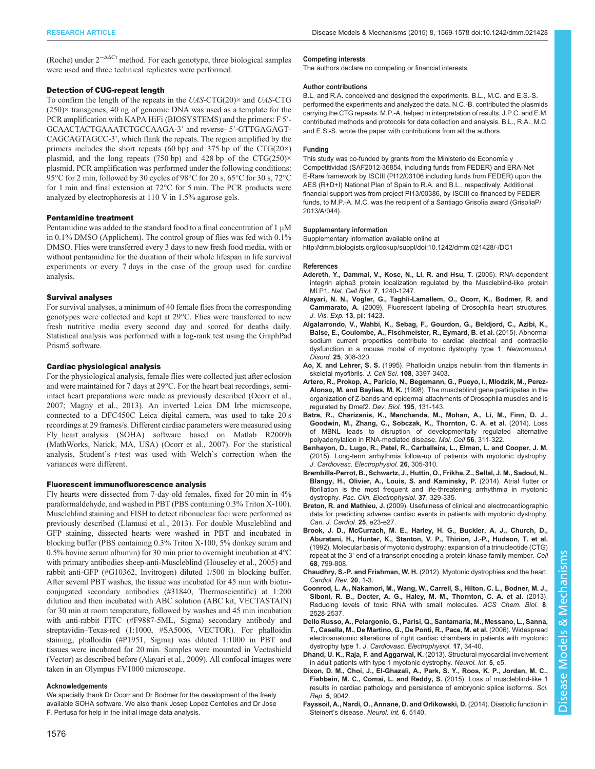<span id="page-7-0"></span>(Roche) under 2−ΔΔCt method. For each genotype, three biological samples were used and three technical replicates were performed.

## Detection of CUG-repeat length

To confirm the length of the repeats in the UAS-CTG(20)× and UAS-CTG  $(250)$  transgenes, 40 ng of genomic DNA was used as a template for the PCR amplification with KAPA HiFi (BIOSYSTEMS) and the primers: F 5′- GCAACTACTGAAATCTGCCAAGA-3′ and reverse- 5′-GTTGAGAGT-CAGCAGTAGCC-3′, which flank the repeats. The region amplified by the primers includes the short repeats (60 bp) and 375 bp of the  $CTG(20\times)$ plasmid, and the long repeats (750 bp) and 428 bp of the  $CTG(250) \times$ plasmid. PCR amplification was performed under the following conditions: 95°C for 2 min, followed by 30 cycles of 98°C for 20 s, 65°C for 30 s, 72°C for 1 min and final extension at 72°C for 5 min. The PCR products were analyzed by electrophoresis at 110 V in 1.5% agarose gels.

## Pentamidine treatment

Pentamidine was added to the standard food to a final concentration of 1  $\mu$ M in 0.1% DMSO (Applichem). The control group of flies was fed with 0.1% DMSO. Flies were transferred every 3 days to new fresh food media, with or without pentamidine for the duration of their whole lifespan in life survival experiments or every 7 days in the case of the group used for cardiac analysis.

## Survival analyses

For survival analyses, a minimum of 40 female flies from the corresponding genotypes were collected and kept at 29°C. Flies were transferred to new fresh nutritive media every second day and scored for deaths daily. Statistical analysis was performed with a log-rank test using the GraphPad Prism5 software.

## Cardiac physiological analysis

For the physiological analysis, female flies were collected just after eclosion and were maintained for 7 days at 29°C. For the heart beat recordings, semiintact heart preparations were made as previously described ([Ocorr et al.,](#page-8-0) [2007](#page-8-0); [Magny et al., 2013](#page-8-0)). An inverted Leica DM Irbe microscope, connected to a DFC450C Leica digital camera, was used to take 20 s recordings at 29 frames/s. Different cardiac parameters were measured using Fly\_heart\_analysis (SOHA) software based on Matlab R2009b (MathWorks, Natick, MA, USA) ([Ocorr et al., 2007\)](#page-8-0). For the statistical analysis, Student's t-test was used with Welch's correction when the variances were different.

#### Fluorescent immunofluorescence analysis

Fly hearts were dissected from 7-day-old females, fixed for 20 min in 4% paraformaldehyde, and washed in PBT (PBS containing 0.3% Triton X-100). Muscleblind staining and FISH to detect ribonuclear foci were performed as previously described [\(Llamusi et al., 2013](#page-8-0)). For double Muscleblind and GFP staining, dissected hearts were washed in PBT and incubated in blocking buffer (PBS containing 0.3% Triton X-100, 5% donkey serum and 0.5% bovine serum albumin) for 30 min prior to overnight incubation at 4°C with primary antibodies sheep-anti-Muscleblind ([Houseley et al., 2005](#page-8-0)) and rabbit anti-GFP (#G10362, Invitrogen) diluted 1/500 in blocking buffer. After several PBT washes, the tissue was incubated for 45 min with biotinconjugated secondary antibodies (#31840, Thermoscientific) at 1:200 dilution and then incubated with ABC solution (ABC kit, VECTASTAIN) for 30 min at room temperature, followed by washes and 45 min incubation with anti-rabbit FITC (#F9887-5ML, Sigma) secondary antibody and streptavidin–Texas-red (1:1000, #SA5006, VECTOR). For phalloidin staining, phalloidin (#P1951, Sigma) was diluted 1:1000 in PBT and tissues were incubated for 20 min. Samples were mounted in Vectashield (Vector) as described before (Alayari et al., 2009). All confocal images were taken in an Olympus FV1000 microscope.

#### Acknowledgements

We specially thank Dr Ocorr and Dr Bodmer for the development of the freely available SOHA software. We also thank Josep Lopez Centelles and Dr Jose F. Pertusa for help in the initial image data analysis.

The authors declare no competing or financial interests.

#### Author contributions

B.L. and R.A. conceived and designed the experiments. B.L., M.C. and E.S.-S. performed the experiments and analyzed the data. N.C.-B. contributed the plasmids carrying the CTG repeats. M.P.-A. helped in interpretation of results. J.P.C. and E.M. contributed methods and protocols for data collection and analysis. B.L., R.A., M.C. and E.S.-S. wrote the paper with contributions from all the authors.

#### Funding

This study was co-funded by grants from the Ministerio de Economía y Competitividad (SAF2012-36854, including funds from FEDER) and ERA-Net E-Rare framework by ISCIII (PI12/03106 including funds from FEDER) upon the AES (R+D+I) National Plan of Spain to R.A. and B.L., respectively. Additional financial support was from project PI13/00386, by ISCIII co-financed by FEDER funds, to M.P.-A. M.C. was the recipient of a Santiago Grisolía award (GrisoliaP/ 2013/A/044).

#### Supplementary information

Supplementary information available online at <http://dmm.biologists.org/lookup/suppl/doi:10.1242/dmm.021428/-/DC1>

#### References

- [Adereth, Y., Dammai, V., Kose, N., Li, R. and Hsu, T.](http://dx.doi.org/10.1038/ncb1335) (2005). RNA-dependent [integrin alpha3 protein localization regulated by the Muscleblind-like protein](http://dx.doi.org/10.1038/ncb1335) MLP1. [Nat. Cell Biol.](http://dx.doi.org/10.1038/ncb1335) 7, 1240-1247.
- [Alayari, N. N., Vogler, G., Taghli-Lamallem, O., Ocorr, K., Bodmer, R. and](http://dx.doi.org/10.3791/1423) Cammarato, A. [\(2009\). Fluorescent labeling of Drosophila heart structures.](http://dx.doi.org/10.3791/1423) [J. Vis. Exp.](http://dx.doi.org/10.3791/1423) 13, pii: 1423.
- [Algalarrondo, V., Wahbi, K., Sebag, F., Gourdon, G., Beldjord, C., Azibi, K.,](http://dx.doi.org/10.1016/j.nmd.2014.11.018) [Balse, E., Coulombe, A., Fischmeister, R., Eymard, B. et al.](http://dx.doi.org/10.1016/j.nmd.2014.11.018) (2015). Abnormal [sodium current properties contribute to cardiac electrical and contractile](http://dx.doi.org/10.1016/j.nmd.2014.11.018) [dysfunction in a mouse model of myotonic dystrophy type 1.](http://dx.doi.org/10.1016/j.nmd.2014.11.018) Neuromuscul. Disord. 25[, 308-320.](http://dx.doi.org/10.1016/j.nmd.2014.11.018)
- Ao, X. and Lehrer, S. S. (1995). Phalloidin unzips nebulin from thin filaments in skeletal myofibrils. J. Cell Sci. 108, 3397-3403.
- [Artero, R., Prokop, A., Paricio, N., Begemann, G., Pueyo, I., Mlodzik, M., Perez-](http://dx.doi.org/10.1006/dbio.1997.8833)Alonso, M. and Baylies, M. K. [\(1998\). The muscleblind gene participates in the](http://dx.doi.org/10.1006/dbio.1997.8833) [organization of Z-bands and epidermal attachments of Drosophila muscles and is](http://dx.doi.org/10.1006/dbio.1997.8833) [regulated by Dmef2.](http://dx.doi.org/10.1006/dbio.1997.8833) Dev. Biol. 195, 131-143.
- [Batra, R., Charizanis, K., Manchanda, M., Mohan, A., Li, M., Finn, D. J.,](http://dx.doi.org/10.1016/j.molcel.2014.08.027) [Goodwin, M., Zhang, C., Sobczak, K., Thornton, C. A. et al.](http://dx.doi.org/10.1016/j.molcel.2014.08.027) (2014). Loss [of MBNL leads to disruption of developmentally regulated alternative](http://dx.doi.org/10.1016/j.molcel.2014.08.027) [polyadenylation in RNA-mediated disease.](http://dx.doi.org/10.1016/j.molcel.2014.08.027) Mol. Cell 56, 311-322.
- [Benhayon, D., Lugo, R., Patel, R., Carballeira, L., Elman, L. and Cooper, J. M.](http://dx.doi.org/10.1111/jce.12604) [\(2015\). Long-term arrhythmia follow-up of patients with myotonic dystrophy.](http://dx.doi.org/10.1111/jce.12604) [J. Cardiovasc. Electrophysiol.](http://dx.doi.org/10.1111/jce.12604) 26, 305-310.
- [Brembilla-Perrot, B., Schwartz, J., Huttin, O., Frikha, Z., Sellal, J. M., Sadoul, N.,](http://dx.doi.org/10.1111/pace.12260) [Blangy, H., Olivier, A., Louis, S. and Kaminsky, P.](http://dx.doi.org/10.1111/pace.12260) (2014). Atrial flutter or [fibrillation is the most frequent and life-threatening arrhythmia in myotonic](http://dx.doi.org/10.1111/pace.12260) dystrophy. [Pac. Clin. Electrophysiol.](http://dx.doi.org/10.1111/pace.12260) 37, 329-335.
- Breton, R. and Mathieu, J. [\(2009\). Usefulness of clinical and electrocardiographic](http://dx.doi.org/10.1016/S0828-282X(09)70479-9) [data for predicting adverse cardiac events in patients with myotonic dystrophy.](http://dx.doi.org/10.1016/S0828-282X(09)70479-9) [Can. J. Cardiol.](http://dx.doi.org/10.1016/S0828-282X(09)70479-9) 25, e23-e27.
- [Brook, J. D., McCurrach, M. E., Harley, H. G., Buckler, A. J., Church, D.,](http://dx.doi.org/10.1016/0092-8674(92)90154-5) [Aburatani, H., Hunter, K., Stanton, V. P., Thirion, J.-P., Hudson, T. et al.](http://dx.doi.org/10.1016/0092-8674(92)90154-5) [\(1992\). Molecular basis of myotonic dystrophy: expansion of a trinucleotide \(CTG\)](http://dx.doi.org/10.1016/0092-8674(92)90154-5) repeat at the 3′ [end of a transcript encoding a protein kinase family member.](http://dx.doi.org/10.1016/0092-8674(92)90154-5) Cell 68[, 799-808.](http://dx.doi.org/10.1016/0092-8674(92)90154-5)
- Chaudhry, S.-P. and Frishman, W. H. [\(2012\). Myotonic dystrophies and the heart.](http://dx.doi.org/10.1097/CRD.0b013e31821950f9) [Cardiol. Rev.](http://dx.doi.org/10.1097/CRD.0b013e31821950f9) 20, 1-3.
- [Coonrod, L. A., Nakamori, M., Wang, W., Carrell, S., Hilton, C. L., Bodner, M. J.,](http://dx.doi.org/10.1021/cb400431f) [Siboni, R. B., Docter, A. G., Haley, M. M., Thornton, C. A. et al.](http://dx.doi.org/10.1021/cb400431f) (2013). [Reducing levels of toxic RNA with small molecules.](http://dx.doi.org/10.1021/cb400431f) ACS Chem. Biol. 8, [2528-2537.](http://dx.doi.org/10.1021/cb400431f)
- [Dello Russo, A., Pelargonio, G., Parisi, Q., Santamaria, M., Messano, L., Sanna,](http://dx.doi.org/10.1111/j.1540-8167.2005.00277.x) [T., Casella, M., De Martino, G., De Ponti, R., Pace, M. et al.](http://dx.doi.org/10.1111/j.1540-8167.2005.00277.x) (2006). Widespread [electroanatomic alterations of right cardiac chambers in patients with myotonic](http://dx.doi.org/10.1111/j.1540-8167.2005.00277.x) dystrophy type 1. [J. Cardiovasc. Electrophysiol.](http://dx.doi.org/10.1111/j.1540-8167.2005.00277.x) 17, 34-40.
- Dhand, U. K., Raja, F. and Aggarwal, K. [\(2013\). Structural myocardial involvement](http://dx.doi.org/10.4081/ni.2013.e5) [in adult patients with type 1 myotonic dystrophy.](http://dx.doi.org/10.4081/ni.2013.e5) Neurol. Int. 5, e5.
- [Dixon, D. M., Choi, J., El-Ghazali, A., Park, S. Y., Roos, K. P., Jordan, M. C.,](http://dx.doi.org/10.1038/srep09042) [Fishbein, M. C., Comai, L. and Reddy, S.](http://dx.doi.org/10.1038/srep09042) (2015). Loss of muscleblind-like 1 [results in cardiac pathology and persistence of embryonic splice isoforms.](http://dx.doi.org/10.1038/srep09042) Sci. Rep. 5[, 9042.](http://dx.doi.org/10.1038/srep09042)
- [Fayssoil, A., Nardi, O., Annane, D. and Orlikowski, D.](http://dx.doi.org/10.4081/ni.2014.5140) (2014). Diastolic function in Steinert's disease. [Neurol. Int.](http://dx.doi.org/10.4081/ni.2014.5140) 6, 5140.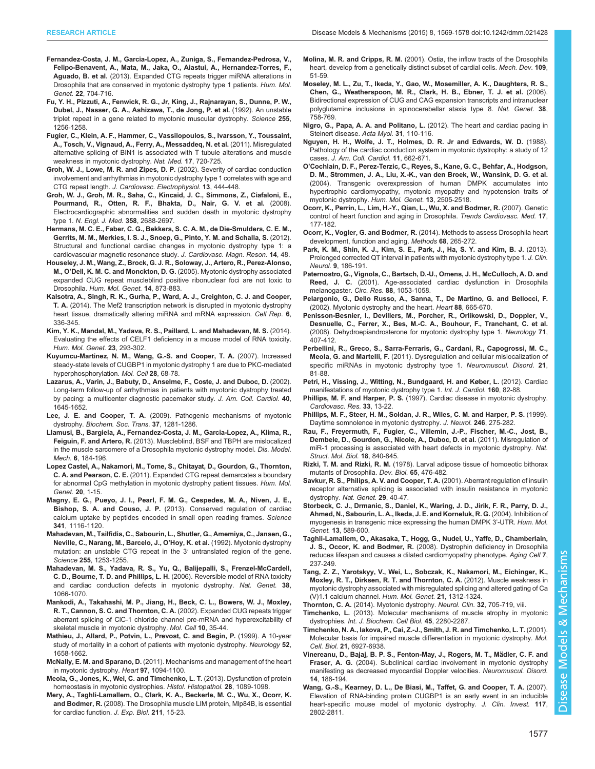- <span id="page-8-0"></span>[Fernandez-Costa, J. M., Garcia-Lopez, A., Zuniga, S., Fernandez-Pedrosa, V.,](http://dx.doi.org/10.1093/hmg/dds478) [Felipo-Benavent, A., Mata, M., Jaka, O., Aiastui, A., Hernandez-Torres, F.,](http://dx.doi.org/10.1093/hmg/dds478) Aguado, B. et al. [\(2013\). Expanded CTG repeats trigger miRNA alterations in](http://dx.doi.org/10.1093/hmg/dds478) [Drosophila that are conserved in myotonic dystrophy type 1 patients.](http://dx.doi.org/10.1093/hmg/dds478) Hum. Mol. Genet. 22[, 704-716.](http://dx.doi.org/10.1093/hmg/dds478)
- [Fu, Y. H., Pizzuti, A., Fenwick, R. G., Jr, King, J., Rajnarayan, S., Dunne, P. W.,](http://dx.doi.org/10.1126/science.1546326) [Dubel, J., Nasser, G. A., Ashizawa, T., de Jong, P. et al.](http://dx.doi.org/10.1126/science.1546326) (1992). An unstable [triplet repeat in a gene related to myotonic muscular dystrophy.](http://dx.doi.org/10.1126/science.1546326) Science 255, [1256-1258.](http://dx.doi.org/10.1126/science.1546326)
- [Fugier, C., Klein, A. F., Hammer, C., Vassilopoulos, S., Ivarsson, Y., Toussaint,](http://dx.doi.org/10.1038/nm.2374) [A., Tosch, V., Vignaud, A., Ferry, A., Messaddeq, N. et al.](http://dx.doi.org/10.1038/nm.2374) (2011). Misregulated [alternative splicing of BIN1 is associated with T tubule alterations and muscle](http://dx.doi.org/10.1038/nm.2374) [weakness in myotonic dystrophy.](http://dx.doi.org/10.1038/nm.2374) Nat. Med. 17, 720-725.
- [Groh, W. J., Lowe, M. R. and Zipes, D. P.](http://dx.doi.org/10.1046/j.1540-8167.2002.00444.x) (2002). Severity of cardiac conduction [involvement and arrhythmias in myotonic dystrophy type 1 correlates with age and](http://dx.doi.org/10.1046/j.1540-8167.2002.00444.x) CTG repeat length. [J. Cardiovasc. Electrophysiol.](http://dx.doi.org/10.1046/j.1540-8167.2002.00444.x) 13, 444-448.
- [Groh, W. J., Groh, M. R., Saha, C., Kincaid, J. C., Simmons, Z., Ciafaloni, E.,](http://dx.doi.org/10.1056/NEJMoa062800) [Pourmand, R., Otten, R. F., Bhakta, D., Nair, G. V. et al.](http://dx.doi.org/10.1056/NEJMoa062800) (2008). [Electrocardiographic abnormalities and sudden death in myotonic dystrophy](http://dx.doi.org/10.1056/NEJMoa062800) type 1. [N. Engl. J. Med.](http://dx.doi.org/10.1056/NEJMoa062800) 358, 2688-2697.
- [Hermans, M. C. E., Faber, C. G., Bekkers, S. C. A. M., de Die-Smulders, C. E. M.,](http://dx.doi.org/10.1186/1532-429X-14-48) [Gerrits, M. M., Merkies, I. S. J., Snoep, G., Pinto, Y. M. and Schalla, S.](http://dx.doi.org/10.1186/1532-429X-14-48) (2012). [Structural and functional cardiac changes in myotonic dystrophy type 1: a](http://dx.doi.org/10.1186/1532-429X-14-48) [cardiovascular magnetic resonance study.](http://dx.doi.org/10.1186/1532-429X-14-48) J. Cardiovasc. Magn. Reson. 14, 48.
- [Houseley, J. M., Wang, Z., Brock, G. J. R., Soloway, J., Artero, R., Perez-Alonso,](http://dx.doi.org/10.1093/hmg/ddi080) M., O'Dell, K. M. C. and Monckton, D. G. [\(2005\). Myotonic dystrophy associated](http://dx.doi.org/10.1093/hmg/ddi080) [expanded CUG repeat muscleblind positive ribonuclear foci are not toxic to](http://dx.doi.org/10.1093/hmg/ddi080) Drosophila. [Hum. Mol. Genet.](http://dx.doi.org/10.1093/hmg/ddi080) 14, 873-883.
- [Kalsotra, A., Singh, R. K., Gurha, P., Ward, A. J., Creighton, C. J. and Cooper,](http://dx.doi.org/10.1016/j.celrep.2013.12.025) T. A. [\(2014\). The Mef2 transcription network is disrupted in myotonic dystrophy](http://dx.doi.org/10.1016/j.celrep.2013.12.025) [heart tissue, dramatically altering miRNA and mRNA expression.](http://dx.doi.org/10.1016/j.celrep.2013.12.025) Cell Rep. 6, [336-345.](http://dx.doi.org/10.1016/j.celrep.2013.12.025)
- [Kim, Y. K., Mandal, M., Yadava, R. S., Paillard, L. and Mahadevan, M. S.](http://dx.doi.org/10.1093/hmg/ddt419) (2014). [Evaluating the effects of CELF1 deficiency in a mouse model of RNA toxicity.](http://dx.doi.org/10.1093/hmg/ddt419) [Hum. Mol. Genet.](http://dx.doi.org/10.1093/hmg/ddt419) 23, 293-302.
- [Kuyumcu-Martinez, N. M., Wang, G.-S. and Cooper, T. A.](http://dx.doi.org/10.1016/j.molcel.2007.07.027) (2007). Increased [steady-state levels of CUGBP1 in myotonic dystrophy 1 are due to PKC-mediated](http://dx.doi.org/10.1016/j.molcel.2007.07.027) [hyperphosphorylation.](http://dx.doi.org/10.1016/j.molcel.2007.07.027) Mol. Cell 28, 68-78.
- [Lazarus, A., Varin, J., Babuty, D., Anselme, F., Coste, J. and Duboc, D.](http://dx.doi.org/10.1016/S0735-1097(02)02339-2) (2002). [Long-term follow-up of arrhythmias in patients with myotonic dystrophy treated](http://dx.doi.org/10.1016/S0735-1097(02)02339-2) [by pacing: a multicenter diagnostic pacemaker study.](http://dx.doi.org/10.1016/S0735-1097(02)02339-2) J. Am. Coll. Cardiol. 40, [1645-1652.](http://dx.doi.org/10.1016/S0735-1097(02)02339-2)
- Lee, J. E. and Cooper, T. A. [\(2009\). Pathogenic mechanisms of myotonic](http://dx.doi.org/10.1042/BST0371281) dystrophy. [Biochem. Soc. Trans.](http://dx.doi.org/10.1042/BST0371281) 37, 1281-1286.
- [Llamusi, B., Bargiela, A., Fernandez-Costa, J. M., Garcia-Lopez, A., Klima, R.,](http://dx.doi.org/10.1242/dmm.009563) Feiguin, F. and Artero, R. [\(2013\). Muscleblind, BSF and TBPH are mislocalized](http://dx.doi.org/10.1242/dmm.009563) [in the muscle sarcomere of a Drosophila myotonic dystrophy model.](http://dx.doi.org/10.1242/dmm.009563) Dis. Model. Mech. 6[, 184-196.](http://dx.doi.org/10.1242/dmm.009563)
- [Lopez Castel, A., Nakamori, M., Tome, S., Chitayat, D., Gourdon, G., Thornton,](http://dx.doi.org/10.1093/hmg/ddq427) C. A. and Pearson, C. E. [\(2011\). Expanded CTG repeat demarcates a boundary](http://dx.doi.org/10.1093/hmg/ddq427) [for abnormal CpG methylation in myotonic dystrophy patient tissues.](http://dx.doi.org/10.1093/hmg/ddq427) Hum. Mol. [Genet.](http://dx.doi.org/10.1093/hmg/ddq427) 20, 1-15.
- [Magny, E. G., Pueyo, J. I., Pearl, F. M. G., Cespedes, M. A., Niven, J. E.,](http://dx.doi.org/10.1126/science.1238802) Bishop, S. A. and Couso, J. P. [\(2013\). Conserved regulation of cardiac](http://dx.doi.org/10.1126/science.1238802) [calcium uptake by peptides encoded in small open reading frames.](http://dx.doi.org/10.1126/science.1238802) Science 341[, 1116-1120.](http://dx.doi.org/10.1126/science.1238802)
- [Mahadevan, M., Tsilfidis, C., Sabourin, L., Shutler, G., Amemiya, C., Jansen, G.,](http://dx.doi.org/10.1126/science.1546325) [Neville, C., Narang, M., Barcelo, J., O](http://dx.doi.org/10.1126/science.1546325)'Hoy, K. et al. (1992). Myotonic dystrophy [mutation: an unstable CTG repeat in the 3](http://dx.doi.org/10.1126/science.1546325)′ untranslated region of the gene. Science 255[, 1253-1255.](http://dx.doi.org/10.1126/science.1546325)
- [Mahadevan, M. S., Yadava, R. S., Yu, Q., Balijepalli, S., Frenzel-McCardell,](http://dx.doi.org/10.1038/ng1857) C. D., Bourne, T. D. and Phillips, L. H. [\(2006\). Reversible model of RNA toxicity](http://dx.doi.org/10.1038/ng1857) [and cardiac conduction defects in myotonic dystrophy.](http://dx.doi.org/10.1038/ng1857) Nat. Genet. 38, [1066-1070.](http://dx.doi.org/10.1038/ng1857)
- [Mankodi, A., Takahashi, M. P., Jiang, H., Beck, C. L., Bowers, W. J., Moxley,](http://dx.doi.org/10.1016/S1097-2765(02)00563-4) [R. T., Cannon, S. C. and Thornton, C. A.](http://dx.doi.org/10.1016/S1097-2765(02)00563-4) (2002). Expanded CUG repeats trigger [aberrant splicing of ClC-1 chloride channel pre-mRNA and hyperexcitability of](http://dx.doi.org/10.1016/S1097-2765(02)00563-4) [skeletal muscle in myotonic dystrophy.](http://dx.doi.org/10.1016/S1097-2765(02)00563-4) Mol. Cell 10, 35-44.
- [Mathieu, J., Allard, P., Potvin, L., Prevost, C. and Begin, P.](http://dx.doi.org/10.1212/WNL.52.8.1658) (1999). A 10-year [study of mortality in a cohort of patients with myotonic dystrophy.](http://dx.doi.org/10.1212/WNL.52.8.1658) Neurology 52, [1658-1662.](http://dx.doi.org/10.1212/WNL.52.8.1658)
- McNally, E. M. and Sparano, D. [\(2011\). Mechanisms and management of the heart](http://dx.doi.org/10.1136/hrt.2010.214197) [in myotonic dystrophy.](http://dx.doi.org/10.1136/hrt.2010.214197) Heart 97, 1094-1100.
- Meola, G., Jones, K., Wei, C. and Timchenko, L. T. (2013). Dysfunction of protein homeostasis in myotonic dystrophies. Histol. Histopathol. 28, 1089-1098.
- [Mery, A., Taghli-Lamallem, O., Clark, K. A., Beckerle, M. C., Wu, X., Ocorr, K.](http://dx.doi.org/10.1242/jeb.012435) and Bodmer, R. [\(2008\). The Drosophila muscle LIM protein, Mlp84B, is essential](http://dx.doi.org/10.1242/jeb.012435) [for cardiac function.](http://dx.doi.org/10.1242/jeb.012435) J. Exp. Biol. 211, 15-23.
- Molina, M. R. and Cripps, R. M. [\(2001\). Ostia, the inflow tracts of the Drosophila](http://dx.doi.org/10.1016/S0925-4773(01)00509-3) [heart, develop from a genetically distinct subset of cardial cells.](http://dx.doi.org/10.1016/S0925-4773(01)00509-3) Mech. Dev. 109, [51-59.](http://dx.doi.org/10.1016/S0925-4773(01)00509-3)
- [Moseley, M. L., Zu, T., Ikeda, Y., Gao, W., Mosemiller, A. K., Daughters, R. S.,](http://dx.doi.org/10.1038/ng1827) [Chen, G., Weatherspoon, M. R., Clark, H. B., Ebner, T. J. et al.](http://dx.doi.org/10.1038/ng1827) (2006). [Bidirectional expression of CUG and CAG expansion transcripts and intranuclear](http://dx.doi.org/10.1038/ng1827) [polyglutamine inclusions in spinocerebellar ataxia type 8.](http://dx.doi.org/10.1038/ng1827) Nat. Genet. 38, [758-769.](http://dx.doi.org/10.1038/ng1827)
- Nigro, G., Papa, A. A. and Politano, L. (2012). The heart and cardiac pacing in Steinert disease. Acta Mvol. 31, 110-116.
- [Nguyen, H. H., Wolfe, J. T., Holmes, D. R. Jr and Edwards, W. D.](http://dx.doi.org/10.1016/0735-1097(88)91547-1) (1988). [Pathology of the cardiac conduction system in myotonic dystrophy: a study of 12](http://dx.doi.org/10.1016/0735-1097(88)91547-1) cases. [J. Am. Coll. Cardiol.](http://dx.doi.org/10.1016/0735-1097(88)91547-1) 11, 662-671.
- O'[Cochlain, D. F., Perez-Terzic, C., Reyes, S., Kane, G. C., Behfar, A., Hodgson,](http://dx.doi.org/10.1093/hmg/ddh266) [D. M., Strommen, J. A., Liu, X.-K., van den Broek, W., Wansink, D. G. et al.](http://dx.doi.org/10.1093/hmg/ddh266) [\(2004\). Transgenic overexpression of human DMPK accumulates into](http://dx.doi.org/10.1093/hmg/ddh266) [hypertrophic cardiomyopathy, myotonic myopathy and hypotension traits of](http://dx.doi.org/10.1093/hmg/ddh266) [myotonic dystrophy.](http://dx.doi.org/10.1093/hmg/ddh266) Hum. Mol. Genet. 13, 2505-2518.
- [Ocorr, K., Perrin, L., Lim, H.-Y., Qian, L., Wu, X. and Bodmer, R.](http://dx.doi.org/10.1016/j.tcm.2007.04.001) (2007). Genetic [control of heart function and aging in Drosophila.](http://dx.doi.org/10.1016/j.tcm.2007.04.001) Trends Cardiovasc. Med. 17, [177-182.](http://dx.doi.org/10.1016/j.tcm.2007.04.001)
- Ocorr, K., Vogler, G. and Bodmer, R. [\(2014\). Methods to assess Drosophila heart](http://dx.doi.org/10.1016/j.ymeth.2014.03.031) [development, function and aging.](http://dx.doi.org/10.1016/j.ymeth.2014.03.031) Methods 68, 265-272.
- [Park, K. M., Shin, K. J., Kim, S. E., Park, J., Ha, S. Y. and Kim, B. J.](http://dx.doi.org/10.3988/jcn.2013.9.3.186) (2013). [Prolonged corrected QT interval in patients with myotonic dystrophy type 1.](http://dx.doi.org/10.3988/jcn.2013.9.3.186) J. Clin. Neurol. 9[, 186-191.](http://dx.doi.org/10.3988/jcn.2013.9.3.186)
- [Paternostro, G., Vignola, C., Bartsch, D.-U., Omens, J. H., McCulloch, A. D. and](http://dx.doi.org/10.1161/hh1001.090857) Reed, J. C. [\(2001\). Age-associated cardiac dysfunction in Drosophila](http://dx.doi.org/10.1161/hh1001.090857) [melanogaster.](http://dx.doi.org/10.1161/hh1001.090857) Circ. Res. 88, 1053-1058.
- [Pelargonio, G., Dello Russo, A., Sanna, T., De Martino, G. and Bellocci, F.](http://dx.doi.org/10.1136/heart.88.6.665) [\(2002\). Myotonic dystrophy and the heart.](http://dx.doi.org/10.1136/heart.88.6.665) Heart 88, 665-670.
- [Penisson-Besnier, I., Devillers, M., Porcher, R., Orlikowski, D., Doppler, V.,](http://dx.doi.org/10.1212/01.wnl.0000324257.35759.40) [Desnuelle, C., Ferrer, X., Bes, M.-C. A., Bouhour, F., Tranchant, C. et al.](http://dx.doi.org/10.1212/01.wnl.0000324257.35759.40) [\(2008\). Dehydroepiandrosterone for myotonic dystrophy type 1.](http://dx.doi.org/10.1212/01.wnl.0000324257.35759.40) Neurology 71, [407-412.](http://dx.doi.org/10.1212/01.wnl.0000324257.35759.40)
- [Perbellini, R., Greco, S., Sarra-Ferraris, G., Cardani, R., Capogrossi, M. C.,](http://dx.doi.org/10.1016/j.nmd.2010.11.012) Meola, G. and Martelli, F. [\(2011\). Dysregulation and cellular mislocalization of](http://dx.doi.org/10.1016/j.nmd.2010.11.012) [specific miRNAs in myotonic dystrophy type 1.](http://dx.doi.org/10.1016/j.nmd.2010.11.012) Neuromuscul. Disord. 21, [81-88.](http://dx.doi.org/10.1016/j.nmd.2010.11.012)
- [Petri, H., Vissing, J., Witting, N., Bundgaard, H. and Køber, L.](http://dx.doi.org/10.1016/j.ijcard.2011.08.037) (2012). Cardiac [manifestations of myotonic dystrophy type 1.](http://dx.doi.org/10.1016/j.ijcard.2011.08.037) Int. J. Cardiol. 160, 82-88.
- Phillips, M. F. and Harper, P. S. [\(1997\). Cardiac disease in myotonic dystrophy.](http://dx.doi.org/10.1016/S0008-6363(96)00163-0) [Cardiovasc. Res.](http://dx.doi.org/10.1016/S0008-6363(96)00163-0) 33, 13-22.
- [Phillips, M. F., Steer, H. M., Soldan, J. R., Wiles, C. M. and Harper, P. S.](http://dx.doi.org/10.1007/s004150050346) (1999). [Daytime somnolence in myotonic dystrophy.](http://dx.doi.org/10.1007/s004150050346) J. Neurol. 246, 275-282.
- [Rau, F., Freyermuth, F., Fugier, C., Villemin, J.-P., Fischer, M.-C., Jost, B.,](http://dx.doi.org/10.1038/nsmb.2067) [Dembele, D., Gourdon, G., Nicole, A., Duboc, D. et al.](http://dx.doi.org/10.1038/nsmb.2067) (2011). Misregulation of [miR-1 processing is associated with heart defects in myotonic dystrophy.](http://dx.doi.org/10.1038/nsmb.2067) Nat. [Struct. Mol. Biol.](http://dx.doi.org/10.1038/nsmb.2067) 18, 840-845.
- Rizki, T. M. and Rizki, R. M. [\(1978\). Larval adipose tissue of homoeotic bithorax](http://dx.doi.org/10.1016/0012-1606(78)90042-8) [mutants of Drosophila.](http://dx.doi.org/10.1016/0012-1606(78)90042-8) Dev. Biol. 65, 476-482.
- [Savkur, R. S., Philips, A. V. and Cooper, T. A.](http://dx.doi.org/10.1038/ng704) (2001). Aberrant regulation of insulin [receptor alternative splicing is associated with insulin resistance in myotonic](http://dx.doi.org/10.1038/ng704) dystrophy. [Nat. Genet.](http://dx.doi.org/10.1038/ng704) 29, 40-47.
- [Storbeck, C. J., Drmanic, S., Daniel, K., Waring, J. D., Jirik, F. R., Parry, D. J.,](http://dx.doi.org/10.1093/hmg/ddh064) [Ahmed, N., Sabourin, L. A., Ikeda, J. E. and Korneluk, R. G.](http://dx.doi.org/10.1093/hmg/ddh064) (2004). Inhibition of [myogenesis in transgenic mice expressing the human DMPK 3](http://dx.doi.org/10.1093/hmg/ddh064)'-UTR. Hum. Mol. Genet. 13[, 589-600.](http://dx.doi.org/10.1093/hmg/ddh064)
- [Taghli-Lamallem, O., Akasaka, T., Hogg, G., Nudel, U., Yaffe, D., Chamberlain,](http://dx.doi.org/10.1111/j.1474-9726.2008.00367.x) J. S., Occor, K. and Bodmer, R. [\(2008\). Dystrophin deficiency in Drosophila](http://dx.doi.org/10.1111/j.1474-9726.2008.00367.x) [reduces lifespan and causes a dilated cardiomyopathy phenotype.](http://dx.doi.org/10.1111/j.1474-9726.2008.00367.x) Aging Cell 7, [237-249.](http://dx.doi.org/10.1111/j.1474-9726.2008.00367.x)
- [Tang, Z. Z., Yarotskyy, V., Wei, L., Sobczak, K., Nakamori, M., Eichinger, K.,](http://dx.doi.org/10.1093/hmg/ddr568) [Moxley, R. T., Dirksen, R. T. and Thornton, C. A.](http://dx.doi.org/10.1093/hmg/ddr568) (2012). Muscle weakness in [myotonic dystrophy associated with misregulated splicing and altered gating of Ca](http://dx.doi.org/10.1093/hmg/ddr568) [\(V\)1.1 calcium channel.](http://dx.doi.org/10.1093/hmg/ddr568) Hum. Mol. Genet. 21, 1312-1324.
- Thornton, C. A. [\(2014\). Myotonic dystrophy.](http://dx.doi.org/10.1016/j.ncl.2014.04.011) Neurol. Clin. 32, 705-719, viii. Timchenko, L. [\(2013\). Molecular mechanisms of muscle atrophy in myotonic](http://dx.doi.org/10.1016/j.biocel.2013.06.010) dystrophies. [Int. J. Biochem. Cell Biol.](http://dx.doi.org/10.1016/j.biocel.2013.06.010) 45, 2280-2287.
- [Timchenko, N. A., Iakova, P., Cai, Z.-J., Smith, J. R. and Timchenko, L. T.](http://dx.doi.org/10.1128/MCB.21.20.6927-6938.2001) (2001). [Molecular basis for impaired muscle differentiation in myotonic dystrophy.](http://dx.doi.org/10.1128/MCB.21.20.6927-6938.2001) Mol. Cell. Biol. 21[, 6927-6938.](http://dx.doi.org/10.1128/MCB.21.20.6927-6938.2001)
- [Vinereanu, D., Bajaj, B. P. S., Fenton-May, J., Rogers, M. T., Ma](http://dx.doi.org/10.1016/j.nmd.2003.11.005)̈dler, C. F. and Fraser, A. G. [\(2004\). Subclinical cardiac involvement in myotonic dystrophy](http://dx.doi.org/10.1016/j.nmd.2003.11.005) [manifesting as decreased myocardial Doppler velocities.](http://dx.doi.org/10.1016/j.nmd.2003.11.005) Neuromuscul. Disord. 14[, 188-194.](http://dx.doi.org/10.1016/j.nmd.2003.11.005)
- [Wang, G.-S., Kearney, D. L., De Biasi, M., Taffet, G. and Cooper, T. A.](http://dx.doi.org/10.1172/JCI32308) (2007). [Elevation of RNA-binding protein CUGBP1 is an early event in an inducible](http://dx.doi.org/10.1172/JCI32308) [heart-specific mouse model of myotonic dystrophy.](http://dx.doi.org/10.1172/JCI32308) J. Clin. Invest. 117, [2802-2811.](http://dx.doi.org/10.1172/JCI32308)